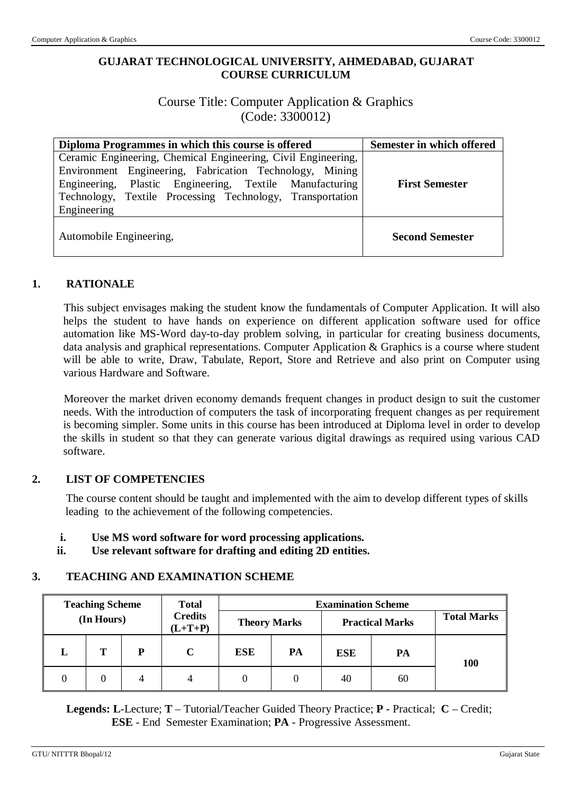## **GUJARAT TECHNOLOGICAL UNIVERSITY, AHMEDABAD, GUJARAT COURSE CURRICULUM**

## Course Title: Computer Application & Graphics (Code: 3300012)

| Diploma Programmes in which this course is offered            | Semester in which offered |
|---------------------------------------------------------------|---------------------------|
| Ceramic Engineering, Chemical Engineering, Civil Engineering, |                           |
| Environment Engineering, Fabrication Technology, Mining       |                           |
| Engineering, Plastic Engineering, Textile Manufacturing       | <b>First Semester</b>     |
| Technology, Textile Processing Technology, Transportation     |                           |
| Engineering                                                   |                           |
| Automobile Engineering,                                       | <b>Second Semester</b>    |

### **1. RATIONALE**

This subject envisages making the student know the fundamentals of Computer Application. It will also helps the student to have hands on experience on different application software used for office automation like MS-Word day-to-day problem solving, in particular for creating business documents, data analysis and graphical representations. Computer Application & Graphics is a course where student will be able to write, Draw, Tabulate, Report, Store and Retrieve and also print on Computer using various Hardware and Software.

Moreover the market driven economy demands frequent changes in product design to suit the customer needs. With the introduction of computers the task of incorporating frequent changes as per requirement is becoming simpler. Some units in this course has been introduced at Diploma level in order to develop the skills in student so that they can generate various digital drawings as required using various CAD software.

### **2. LIST OF COMPETENCIES**

The course content should be taught and implemented with the aim to develop different types of skills leading to the achievement of the following competencies.

### **i. Use MS word software for word processing applications.**

**ii. Use relevant software for drafting and editing 2D entities.**

### **3. TEACHING AND EXAMINATION SCHEME**

|                    | <b>Examination Scheme</b> |            |                     | <b>Total</b> |                             | <b>Teaching Scheme</b> |   |   |
|--------------------|---------------------------|------------|---------------------|--------------|-----------------------------|------------------------|---|---|
| <b>Total Marks</b> | <b>Practical Marks</b>    |            | <b>Theory Marks</b> |              | <b>Credits</b><br>$(L+T+P)$ | (In Hours)             |   |   |
| 100                | PA                        | <b>ESE</b> | PA                  | <b>ESE</b>   | C                           | D                      | т | L |
|                    | 60                        | 40         |                     | 0            | 4                           | 4                      |   |   |

 **Legends: L**-Lecture; **T** – Tutorial/Teacher Guided Theory Practice; **P** - Practical; **C** – Credit; **ESE** - End Semester Examination; **PA** - Progressive Assessment.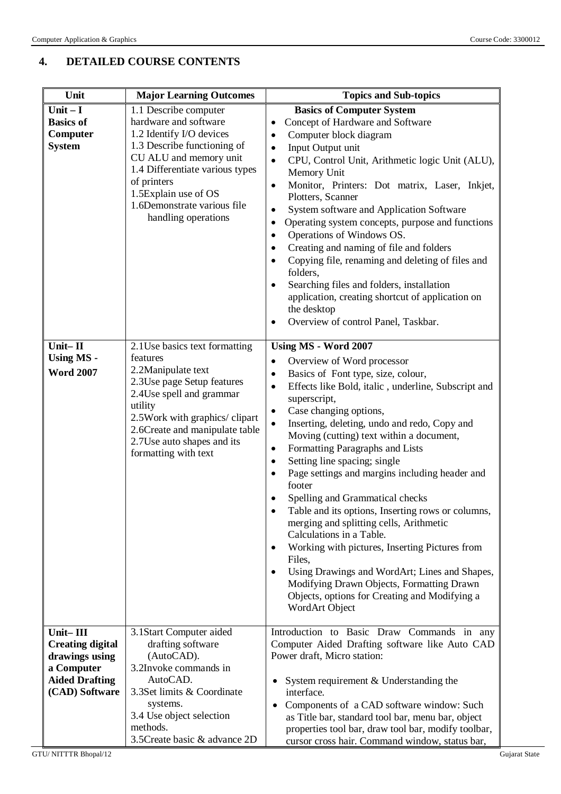# **4. DETAILED COURSE CONTENTS**

| Unit                                                                                                            | <b>Major Learning Outcomes</b>                                                                                                                                                                                                                                                                                                                                                                                                                                                                                 | <b>Topics and Sub-topics</b>                                                                                                                                                                                                                                                                                                                                                                                                                                                                                                                                                                                                                                                                                                                                                                                                                                                                                                                                                                                                                                                                                                                                                   |  |
|-----------------------------------------------------------------------------------------------------------------|----------------------------------------------------------------------------------------------------------------------------------------------------------------------------------------------------------------------------------------------------------------------------------------------------------------------------------------------------------------------------------------------------------------------------------------------------------------------------------------------------------------|--------------------------------------------------------------------------------------------------------------------------------------------------------------------------------------------------------------------------------------------------------------------------------------------------------------------------------------------------------------------------------------------------------------------------------------------------------------------------------------------------------------------------------------------------------------------------------------------------------------------------------------------------------------------------------------------------------------------------------------------------------------------------------------------------------------------------------------------------------------------------------------------------------------------------------------------------------------------------------------------------------------------------------------------------------------------------------------------------------------------------------------------------------------------------------|--|
| $Unit - I$<br><b>Basics of</b><br>Computer<br><b>System</b><br>Unit-II<br><b>Using MS -</b><br><b>Word 2007</b> | 1.1 Describe computer<br>hardware and software<br>1.2 Identify I/O devices<br>1.3 Describe functioning of<br>CU ALU and memory unit<br>1.4 Differentiate various types<br>of printers<br>1.5Explain use of OS<br>1.6Demonstrate various file<br>handling operations<br>2.1 Use basics text formatting<br>features<br>2.2Manipulate text<br>2.3Use page Setup features<br>2.4 Use spell and grammar<br>utility<br>2.5Work with graphics/clipart<br>2.6Create and manipulate table<br>2.7Use auto shapes and its | <b>Basics of Computer System</b><br>Concept of Hardware and Software<br>٠<br>Computer block diagram<br>$\bullet$<br>Input Output unit<br>$\bullet$<br>CPU, Control Unit, Arithmetic logic Unit (ALU),<br>$\bullet$<br>Memory Unit<br>Monitor, Printers: Dot matrix, Laser, Inkjet,<br>$\bullet$<br>Plotters, Scanner<br>System software and Application Software<br>$\bullet$<br>Operating system concepts, purpose and functions<br>$\bullet$<br>Operations of Windows OS.<br>٠<br>Creating and naming of file and folders<br>$\bullet$<br>Copying file, renaming and deleting of files and<br>$\bullet$<br>folders,<br>Searching files and folders, installation<br>application, creating shortcut of application on<br>the desktop<br>Overview of control Panel, Taskbar.<br>Using MS - Word 2007<br>Overview of Word processor<br>$\bullet$<br>Basics of Font type, size, colour,<br>$\bullet$<br>Effects like Bold, italic, underline, Subscript and<br>$\bullet$<br>superscript,<br>Case changing options,<br>$\bullet$<br>Inserting, deleting, undo and redo, Copy and<br>$\bullet$<br>Moving (cutting) text within a document,<br>Formatting Paragraphs and Lists<br>٠ |  |
| Unit-III<br><b>Creating digital</b><br>drawings using<br>a Computer                                             | formatting with text<br>3.1Start Computer aided<br>drafting software<br>(AutoCAD).<br>3.2Invoke commands in                                                                                                                                                                                                                                                                                                                                                                                                    | Setting line spacing; single<br>٠<br>Page settings and margins including header and<br>footer<br>Spelling and Grammatical checks<br>Table and its options, Inserting rows or columns,<br>merging and splitting cells, Arithmetic<br>Calculations in a Table.<br>Working with pictures, Inserting Pictures from<br>$\bullet$<br>Files,<br>Using Drawings and WordArt; Lines and Shapes,<br>Modifying Drawn Objects, Formatting Drawn<br>Objects, options for Creating and Modifying a<br>WordArt Object<br>Introduction to Basic Draw Commands in any<br>Computer Aided Drafting software like Auto CAD<br>Power draft, Micro station:                                                                                                                                                                                                                                                                                                                                                                                                                                                                                                                                          |  |
| <b>Aided Drafting</b><br>(CAD) Software                                                                         | AutoCAD.<br>3.3Set limits & Coordinate<br>systems.<br>3.4 Use object selection<br>methods.<br>3.5 Create basic & advance 2D                                                                                                                                                                                                                                                                                                                                                                                    | System requirement & Understanding the<br>interface.<br>Components of a CAD software window: Such<br>as Title bar, standard tool bar, menu bar, object<br>properties tool bar, draw tool bar, modify toolbar,<br>cursor cross hair. Command window, status bar,                                                                                                                                                                                                                                                                                                                                                                                                                                                                                                                                                                                                                                                                                                                                                                                                                                                                                                                |  |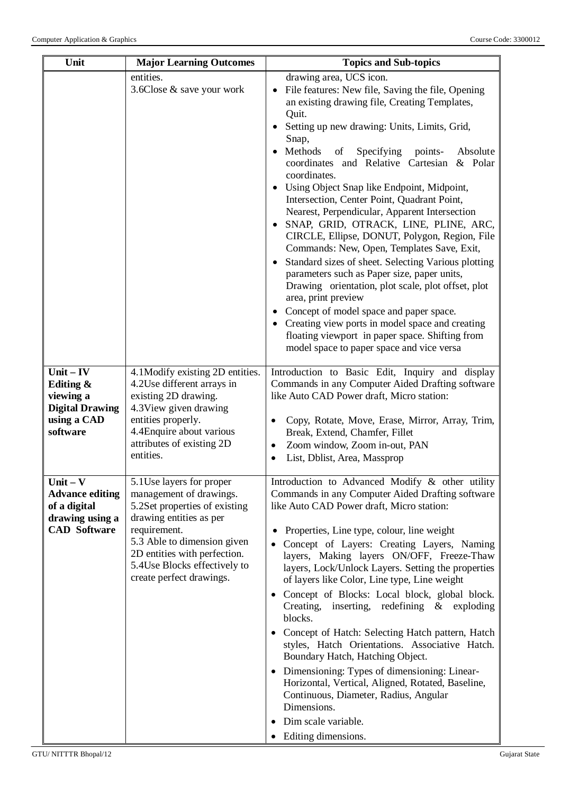| Unit                                                                                           | <b>Major Learning Outcomes</b>                                                                                                                                                                                                                               | <b>Topics and Sub-topics</b>                                                                                                                                                                                                                                                                                                                                                                                                                                                                                                                                                                                                                                                                                                                                                                                                                                                                                                                                                                 |
|------------------------------------------------------------------------------------------------|--------------------------------------------------------------------------------------------------------------------------------------------------------------------------------------------------------------------------------------------------------------|----------------------------------------------------------------------------------------------------------------------------------------------------------------------------------------------------------------------------------------------------------------------------------------------------------------------------------------------------------------------------------------------------------------------------------------------------------------------------------------------------------------------------------------------------------------------------------------------------------------------------------------------------------------------------------------------------------------------------------------------------------------------------------------------------------------------------------------------------------------------------------------------------------------------------------------------------------------------------------------------|
|                                                                                                | entities.<br>3.6Close & save your work                                                                                                                                                                                                                       | drawing area, UCS icon.<br>File features: New file, Saving the file, Opening<br>an existing drawing file, Creating Templates,<br>Quit.<br>Setting up new drawing: Units, Limits, Grid,<br>Snap,<br>Methods<br>Specifying<br>points-<br>Absolute<br>of<br>coordinates and Relative Cartesian & Polar<br>coordinates.<br>Using Object Snap like Endpoint, Midpoint,<br>Intersection, Center Point, Quadrant Point,<br>Nearest, Perpendicular, Apparent Intersection<br>SNAP, GRID, OTRACK, LINE, PLINE, ARC,<br>CIRCLE, Ellipse, DONUT, Polygon, Region, File<br>Commands: New, Open, Templates Save, Exit,<br>Standard sizes of sheet. Selecting Various plotting<br>parameters such as Paper size, paper units,<br>Drawing orientation, plot scale, plot offset, plot<br>area, print preview<br>Concept of model space and paper space.<br>• Creating view ports in model space and creating<br>floating viewport in paper space. Shifting from<br>model space to paper space and vice versa |
| $Unit - IV$<br>Editing &<br>viewing a<br><b>Digital Drawing</b><br>using a CAD<br>software     | 4.1 Modify existing 2D entities.<br>4.2Use different arrays in<br>existing 2D drawing.<br>4.3 View given drawing<br>entities properly.<br>4.4 Enquire about various<br>attributes of existing 2D<br>entities.                                                | Introduction to Basic Edit, Inquiry and display<br>Commands in any Computer Aided Drafting software<br>like Auto CAD Power draft, Micro station:<br>Copy, Rotate, Move, Erase, Mirror, Array, Trim,<br>Break, Extend, Chamfer, Fillet<br>Zoom window, Zoom in-out, PAN<br>$\bullet$<br>List, Dblist, Area, Massprop<br>٠                                                                                                                                                                                                                                                                                                                                                                                                                                                                                                                                                                                                                                                                     |
| $Unit - V$<br><b>Advance editing</b><br>of a digital<br>drawing using a<br><b>CAD</b> Software | 5.1 Use layers for proper<br>management of drawings.<br>5.2Set properties of existing<br>drawing entities as per<br>requirement.<br>5.3 Able to dimension given<br>2D entities with perfection.<br>5.4 Use Blocks effectively to<br>create perfect drawings. | Introduction to Advanced Modify & other utility<br>Commands in any Computer Aided Drafting software<br>like Auto CAD Power draft, Micro station:<br>Properties, Line type, colour, line weight<br>Concept of Layers: Creating Layers, Naming<br>layers, Making layers ON/OFF, Freeze-Thaw<br>layers, Lock/Unlock Layers. Setting the properties<br>of layers like Color, Line type, Line weight<br>Concept of Blocks: Local block, global block.<br>Creating,<br>inserting, redefining $\&$ exploding<br>blocks.<br>Concept of Hatch: Selecting Hatch pattern, Hatch<br>styles, Hatch Orientations. Associative Hatch.<br>Boundary Hatch, Hatching Object.<br>• Dimensioning: Types of dimensioning: Linear-<br>Horizontal, Vertical, Aligned, Rotated, Baseline,<br>Continuous, Diameter, Radius, Angular<br>Dimensions.<br>Dim scale variable.<br>Editing dimensions.                                                                                                                      |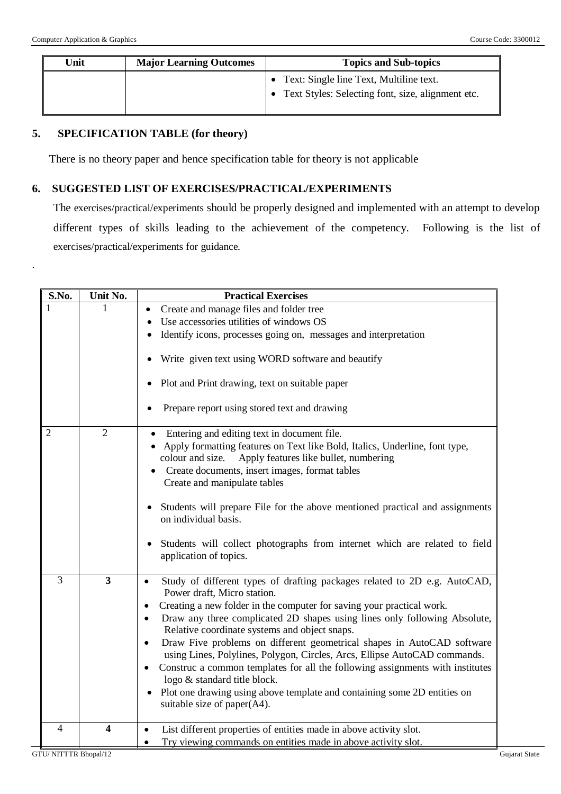.

| Unit | <b>Major Learning Outcomes</b> | <b>Topics and Sub-topics</b>                        |  |
|------|--------------------------------|-----------------------------------------------------|--|
|      |                                | • Text: Single line Text, Multiline text.           |  |
|      |                                | • Text Styles: Selecting font, size, alignment etc. |  |
|      |                                |                                                     |  |

## **5. SPECIFICATION TABLE (for theory)**

There is no theory paper and hence specification table for theory is not applicable

### **6. SUGGESTED LIST OF EXERCISES/PRACTICAL/EXPERIMENTS**

The exercises/practical/experiments should be properly designed and implemented with an attempt to develop different types of skills leading to the achievement of the competency. Following is the list of exercises/practical/experiments for guidance.

| S.No.          | Unit No.                | <b>Practical Exercises</b>                                                                                |
|----------------|-------------------------|-----------------------------------------------------------------------------------------------------------|
| 1              | 1                       | Create and manage files and folder tree                                                                   |
|                |                         | Use accessories utilities of windows OS                                                                   |
|                |                         | Identify icons, processes going on, messages and interpretation                                           |
|                |                         | Write given text using WORD software and beautify                                                         |
|                |                         | Plot and Print drawing, text on suitable paper                                                            |
|                |                         | Prepare report using stored text and drawing                                                              |
| $\overline{2}$ | $\overline{2}$          | Entering and editing text in document file.                                                               |
|                |                         | Apply formatting features on Text like Bold, Italics, Underline, font type,                               |
|                |                         | colour and size.<br>Apply features like bullet, numbering                                                 |
|                |                         | Create documents, insert images, format tables                                                            |
|                |                         | Create and manipulate tables                                                                              |
|                |                         | Students will prepare File for the above mentioned practical and assignments<br>on individual basis.      |
|                |                         | Students will collect photographs from internet which are related to field<br>٠<br>application of topics. |
| 3              | $\overline{\mathbf{3}}$ | Study of different types of drafting packages related to 2D e.g. AutoCAD,                                 |
|                |                         | Power draft, Micro station.                                                                               |
|                |                         | Creating a new folder in the computer for saving your practical work.<br>$\bullet$                        |
|                |                         | Draw any three complicated 2D shapes using lines only following Absolute,<br>$\bullet$                    |
|                |                         | Relative coordinate systems and object snaps.                                                             |
|                |                         | Draw Five problems on different geometrical shapes in AutoCAD software<br>$\bullet$                       |
|                |                         | using Lines, Polylines, Polygon, Circles, Arcs, Ellipse AutoCAD commands.                                 |
|                |                         | Construc a common templates for all the following assignments with institutes                             |
|                |                         | logo & standard title block.                                                                              |
|                |                         | Plot one drawing using above template and containing some 2D entities on<br>suitable size of paper(A4).   |
|                |                         |                                                                                                           |
| $\overline{4}$ | $\overline{\mathbf{4}}$ | List different properties of entities made in above activity slot.<br>$\bullet$                           |
|                |                         | Try viewing commands on entities made in above activity slot.                                             |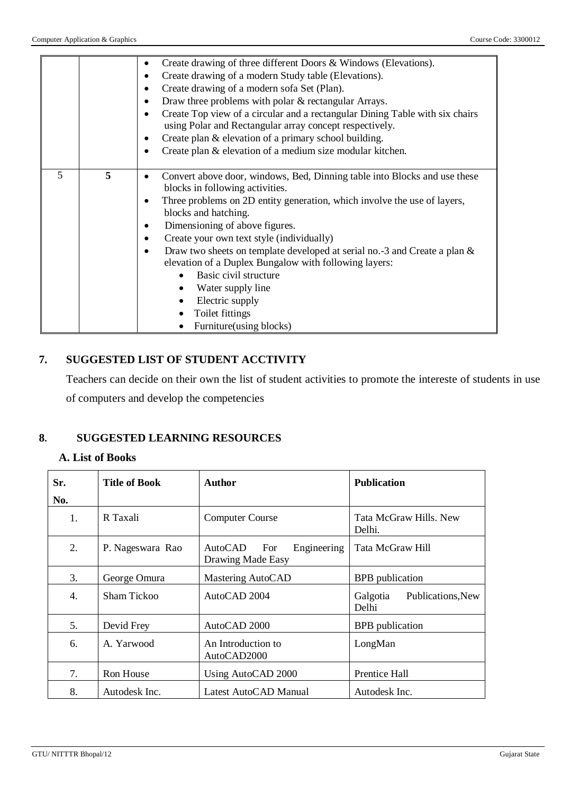|   |   | Create drawing of three different Doors & Windows (Elevations).<br>Create drawing of a modern Study table (Elevations).<br>Create drawing of a modern sofa Set (Plan).<br>Draw three problems with polar & rectangular Arrays.<br>Create Top view of a circular and a rectangular Dining Table with six chairs<br>using Polar and Rectangular array concept respectively.<br>Create plan & elevation of a primary school building.<br>Create plan & elevation of a medium size modular kitchen.                                                      |
|---|---|------------------------------------------------------------------------------------------------------------------------------------------------------------------------------------------------------------------------------------------------------------------------------------------------------------------------------------------------------------------------------------------------------------------------------------------------------------------------------------------------------------------------------------------------------|
| 5 | 5 | Convert above door, windows, Bed, Dinning table into Blocks and use these<br>blocks in following activities.<br>Three problems on 2D entity generation, which involve the use of layers,<br>blocks and hatching.<br>Dimensioning of above figures.<br>Create your own text style (individually)<br>Draw two sheets on template developed at serial no.-3 and Create a plan &<br>elevation of a Duplex Bungalow with following layers:<br>Basic civil structure<br>Water supply line<br>Electric supply<br>Toilet fittings<br>Furniture(using blocks) |

## **7. SUGGESTED LIST OF STUDENT ACCTIVITY**

Teachers can decide on their own the list of student activities to promote the intereste of students in use of computers and develop the competencies

## **8. SUGGESTED LEARNING RESOURCES**

### **A. List of Books**

| Sr.<br>No. | <b>Title of Book</b> | Author                                             | <b>Publication</b>                     |
|------------|----------------------|----------------------------------------------------|----------------------------------------|
| 1.         | R Taxali             | Computer Course                                    | Tata McGraw Hills. New<br>Delhi.       |
| 2.         | P. Nageswara Rao     | AutoCAD<br>Engineering<br>For<br>Drawing Made Easy | Tata McGraw Hill                       |
| 3.         | George Omura         | Mastering AutoCAD                                  | <b>BPB</b> publication                 |
| 4.         | Sham Tickoo          | AutoCAD 2004                                       | Galgotia<br>Publications, New<br>Delhi |
| 5.         | Devid Frey           | AutoCAD 2000                                       | <b>BPB</b> publication                 |
| 6.         | A. Yarwood           | An Introduction to<br>AutoCAD2000                  | LongMan                                |
| 7.         | Ron House            | Using AutoCAD 2000                                 | Prentice Hall                          |
| 8.         | Autodesk Inc.        | Latest AutoCAD Manual                              | Autodesk Inc.                          |